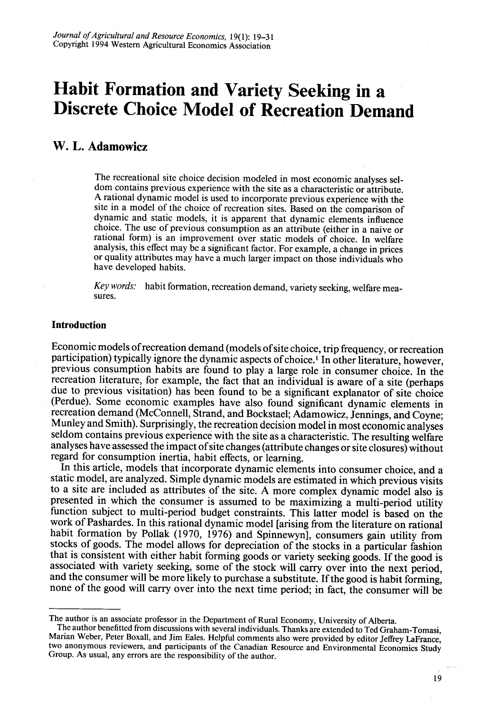# **Habit Formation and Variety Seeking in a Discrete Choice Model of Recreation Demand**

## **W.** L. **Adamowicz**

The recreational site choice decision modeled in most economic analyses seldom contains previous experience with the site as a characteristic or attribute. A rational dynamic model is used to incorporate previous experience with the site in a model of the choice of recreation sites. Based on the comparison of dynamic and static models, it is apparent that dynamic elements influence choice. The use of previous consumption as an attribute (either in a naive or rational form) is an improvement over static models of choice. In welfare analysis, this effect may be a significant factor. For example, a change in prices or quality attributes may have a much larger impact on those individuals who have developed habits.

*Key words:* habit formation, recreation demand, variety seeking, welfare measures.

## **Introduction**

Economic models of recreation demand (models of site choice, trip frequency, or recreation participation) typically ignore the dynamic aspects of choice.<sup>1</sup> In other literature, however, previous consumption habits are found to play a large role in consumer choice. In the recreation literature, for example, the fact that an individual is aware of a site (perhaps due to previous visitation) has been found to be a significant explanator of site choice (Perdue). Some economic examples have also found significant dynamic elements in recreation demand (McConnell, Strand, and Bockstael; Adamowicz, Jennings, and Coyne; Munley and Smith). Surprisingly, the recreation decision model in most economic analyses seldom contains previous experience with the site as a characteristic. The resulting welfare analyses have assessed the impact of site changes (attribute changes or site closures) without regard for consumption inertia, habit effects, or learning.

In this article, models that incorporate dynamic elements into consumer choice, and a static model, are analyzed. Simple dynamic models are estimated in which previous visits to a site are included as attributes of the site. A more complex dynamic model also is function subject to multi-period budget constraints. This latter model is based on the work of Pashardes. In this rational dynamic model [arising from the literature on rational habit formation by Pollak (1970, 1976) and Spinnewyn], consumers gain utility from stocks of goods. The model allows for depreciation of the stocks in a particular fashion that is consistent with either habit forming goods or variety seeking goods. If the good is and the consumer will be more likely to purchase a substitute. If the good is habit forming, none of the good will carry over into the next time period; in fact, the consumer will be

The author is an associate professor in the Department of Rural Economy, University of Alberta. Marian Weber, Peter Boxall, and Jim Eales. Helpful comments also were provided by editor Jeffrey LaFrance, two anonymous reviewers, and participants of the Canadian Resource and Environmental Economics Study Group. As usua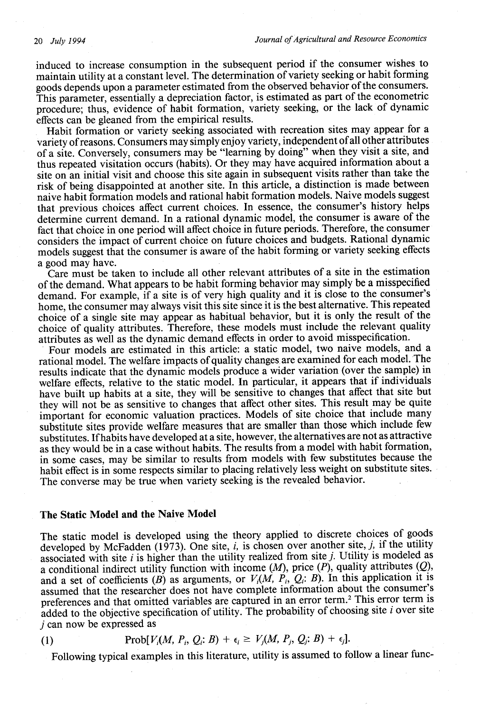induced to increase consumption in the subsequent period if the consumer wishes to maintain utility at a constant level. The determination of variety seeking or habit forming goods depends upon a parameter estimated from the observed behavior of the consumers. This parameter, essentially a depreciation factor, is estimated as part of the econometric procedure; thus, evidence of habit formation, variety seeking, or the lack of dynamic effects can be gleaned from the empirical results.

Habit formation or variety seeking associated with recreation sites may appear for a variety of reasons. Consumers may simply enjoy variety, independent of all other attributes of a site. Conversely, consumers may be "learning by doing" when they visit a site, and thus repeated visitation occurs (habits). Or they may have acquired information about a site on an initial visit and choose this site again in subsequent visits rather than take the risk of being disappointed at another site. In this article, a distinction is made between naive habit formation models and rational habit formation models. Naive models suggest that previous choices affect current choices. In essence, the consumer's history helps determine current demand. In a rational dynamic model, the consumer is aware of the fact that choice in one period will affect choice in future periods. Therefore, the consumer considers the impact of current choice on future choices and budgets. Rational dynamic models suggest that the consumer is aware of the habit forming or variety seeking effects a good may have.

Care must be taken to include all other relevant attributes of a site in the estimation of the demand. What appears to be habit forming behavior may simply be a misspecified demand. For example, if a site is of very high quality and it is close to the consumer's home, the consumer may always visit this site since it is the best alternative. This repeated choice of a single site may appear as habitual behavior, but it is only the result of the choice of quality attributes. Therefore, these models must include the relevant quality attributes as well as the dynamic demand effects in order to avoid misspecification.

Four models are estimated in this article: a static model, two naive models, and a rational model. The welfare impacts of quality changes are examined for each model. The results indicate that the dynamic models produce a wider variation (over the sample) in welfare effects, relative to the static model. In particular, it appears that if individuals have built up habits at a site, they will be sensitive to changes that affect that site but they will not be as sensitive to changes that affect other sites. This result may be quite important for economic valuation practices. Models of site choice that include many substitute sites provide welfare measures that are smaller than those which include few substitutes. If habits have developed at a site, however, the alternatives are not as attractive as they would be in a case without habits. The results from a model with habit formation, in some cases, may be similar to results from models with few substitutes because the habit effect is in some respects similar to placing relatively less weight on substitute sites. The converse may be true when variety seeking is the revealed behavior.

#### **The Static Model and the Naive Model**

The static model is developed using the theory applied to discrete choices of goods developed by McFadden (1973). One site, *i*, is chosen over another site, *j*, if the utility associated with site *i* is higher than the utility realized from site *j.* Utility is modeled as a conditional indirect utility function with income  $(M)$ , price  $(P)$ , quality attributes  $(Q)$ , and a set of coefficients (B) as arguments, or  $V_i(M, P_i, Q_i; B)$ . In this application it is assumed that the researcher does not have complete information about the consumer's preferences and that omitted variables are captured in an error term.2 This error term is added to the objective specification of utility. The probability of choosing site *i* over site *j* can now be expressed as

$$
(1) \tProb[V_i(M, P_i, Q_i; B) + \epsilon_i \geq V_j(M, P_j, Q_j; B) + \epsilon_j].
$$

Following typical examples in this literature, utility is assumed to follow a linear func-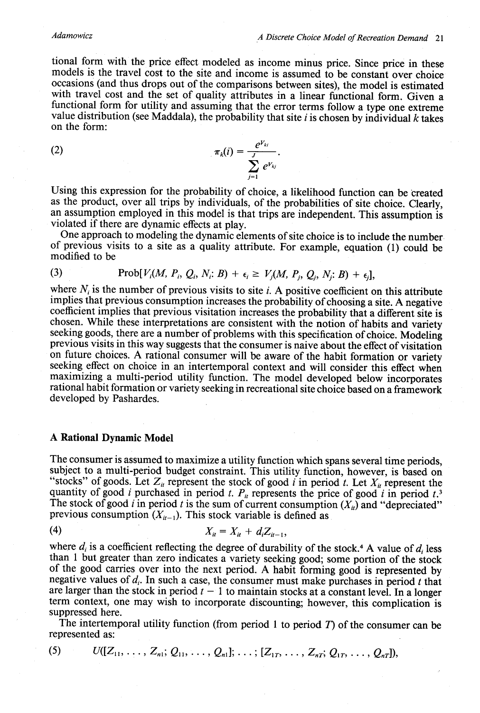#### *Adamowicz*

tional form with the price effect modeled as income minus price. Since price in these models is the travel cost to the site and income is assumed to be constant over choice occasions (and thus drops out of the comparisons between sites), the model is estimated with travel cost and the set of quality attributes in a linear functional form. Given a functional form for utility and assuming that the error terms follow a type one extreme value distribution (see Maddala), the probability that site *i* is chosen by individual *k* takes on the form:

(2) 
$$
\pi_k(i) = \frac{e^{V_{ki}}}{\sum_{j=1}^{J} e^{V_{kj}}}.
$$

Using this expression for the probability of choice, a likelihood function can be created as the product, over all trips by individuals, of the probabilities of site choice. Clearly, an assumption employed in this model is that trips are independent. This assumption is violated if there are dynamic effects at play.

One approach to modeling the dynamic elements of site choice is to include the number of previous visits to a site as a quality attribute. For example, equation (1) could be modified to be

(3) 
$$
\operatorname{Prob}[V_i(M, P_i, Q_i, N_i; B) + \epsilon_i \geq V_j(M, P_j, Q_j, N_j; B) + \epsilon_j],
$$

where  $N_i$  is the number of previous visits to site *i*. A positive coefficient on this attribute implies that previous consumption increases the probability of choosing a site. A negative coefficient implies that previous visitation increases the probability that a different site is chosen. While these interpretations are consistent with the notion of habits and variety seeking goods, there are a number of problems with this specification of choice. Modeling<br>previous visits in this way suggests that the consumer is naive about the effect of visitation<br>on future choices. A rational consume seeking effect on choice in an intertemporal context and will consider this effect when maximizing a multi-period utility function. The model developed below incorporates rational habit formation or variety seeking in recreational site choice based on a framework developed by Pashardes.

### **A Rational Dynamic Model**

The consumer is assumed to maximize a utility function which spans several time periods, subject to a multi-period budget constraint. This utility function, however, is based on "stocks" of goods. Let  $Z_u$  represent the stock of good *i* in period *t*. Let  $X_u$  represent the quantity of good *i* purchased in period *t.*  $P_{it}$  represents the price of good *i* in period *t*.<sup>3</sup> The stock of good *i* in period *t* is the sum of current consumption  $(X_u)$  and "depreciated" previous consumption  $(X_{u-1})$ . This stock variable is defined as

(4) 
$$
X_{it} = X_{it} + d_i Z_{it-1},
$$

where  $d_i$  is a coefficient reflecting the degree of durability of the stock.<sup>4</sup> A value of  $d_i$  less than 1 but greater than zero indicates a variety seeking good; some portion of the stock of the good carries over into the next period. A habit forming good is represented by negative values of  $d_i$ . In such a case, the consumer must make purchases in period *t* that are larger than the stock in period  $t - 1$  to maintain stocks at a constant level. In a longer term context, one may wish to incorporate discounting; however, this complication is suppressed here.

The intertemporal utility function (from period 1 to period  $T$ ) of the consumer can be represented as:

$$
(5) \qquad U([Z_{11},\ldots,Z_{n1};Q_{11},\ldots,Q_{n1}];\ldots;[Z_{1T},\ldots,Z_{nT};Q_{1T},\ldots,Q_{nT}]),
$$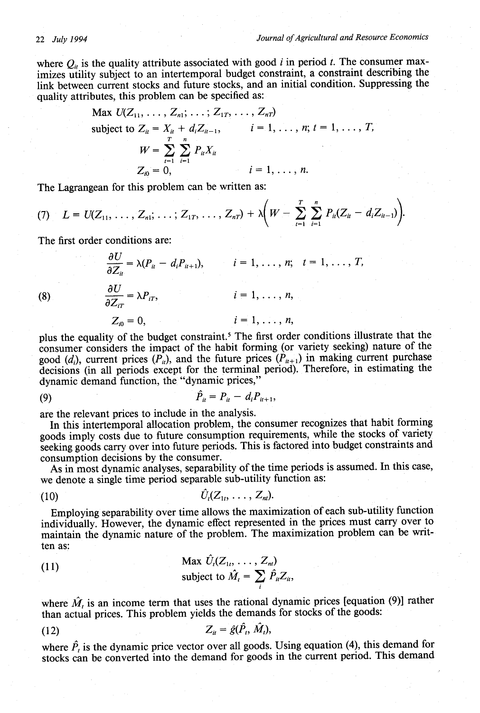where  $Q_{ii}$  is the quality attribute associated with good *i* in period *t*. The consumer maximizes utility subject to an intertemporal budget constraint, a constraint describing the link between current stocks and future stocks, and an initial condition. Suppressing the quality attributes, this problem can be specified as:

Max 
$$
U(Z_{11}, ..., Z_{n1}; ..., Z_{1T}, ..., Z_{nT})
$$
  
\nsubject to  $Z_{it} = X_{it} + d_i Z_{it-1}, \qquad i = 1, ..., n; t = 1, ..., T,$   
\n
$$
W = \sum_{t=1}^{T} \sum_{i=1}^{n} P_{it} X_{it}
$$
\n
$$
Z_{i0} = 0, \qquad i = 1, ..., n.
$$

The Lagrangean for this problem can be written as:

(7) 
$$
L = U(Z_{11}, \ldots, Z_{n1}; \ldots; Z_{1T}, \ldots, Z_{nT}) + \lambda \bigg( W - \sum_{i=1}^T \sum_{i=1}^n P_{ii}(Z_{ii} - d_i Z_{ii-1}) \bigg).
$$

The first order conditions are:

 $\frac{\partial U}{\partial Z_u} = \lambda (P_u - d_i P_{u+1}),$   $i = 1, \ldots, n;$   $t = 1, \ldots, T,$ *aU* (8)  $\frac{\partial U}{\partial z} = \lambda P_{iT},$   $i = 1, ..., n,$  $\partial Z_{iT}$  $Z_n = 0,$   $i = 1, ..., n,$ 

plus the equality of the budget constraint.5 The first order conditions illustrate that the consumer considers the impact of the habit forming (or variety seeking) nature of the good (d<sub>i</sub>), current prices  $(P_u)$ , and the future prices  $(P_{u+1})$  in making current purchase decisions (in all periods except for the terminal period). Therefore, in estimating the dynamic demand function, the "dynamic prices,"

(9) 
$$
\hat{P}_u = P_u - d_i P_{u+1},
$$

are the relevant prices to include in the analysis.

In this intertemporal allocation problem, the consumer recognizes that habit forming goods imply costs due to future consumption requirements, while the stocks of variety seeking goods carry over into future periods. This is factored into budget constraints and consumption decisions by the consumer.

As in most dynamic analyses, separability of the time periods is assumed. In this case, we denote a single time period separable sub-utility function as:

$$
(10) \qquad \qquad \hat{U}_l(Z_{1t},\ldots,Z_{nt}).
$$

Employing separability over time allows the maximization of each sub-utility function individually. However, the dynamic effect represented in the prices must carry over to maintain the dynamic nature of the problem. The maximization problem can be written as:

(11) Max 
$$
\hat{U}_t(Z_{1t}, ..., Z_{nt})
$$
  
subject to  $\hat{M}_t = \sum_i \hat{P}_{it} Z_{it}$ 

where  $\hat{M}_t$  is an income term that uses the rational dynamic prices [equation (9)] rather than actual prices. This problem yields the demands for stocks of the goods:

$$
Z_{it} = \hat{g}(\hat{P}_t, M_t),
$$

where  $\hat{P}_t$  is the dynamic price vector over all goods. Using equation (4), this demand for stocks can be converted into the demand for goods in the current period. This demand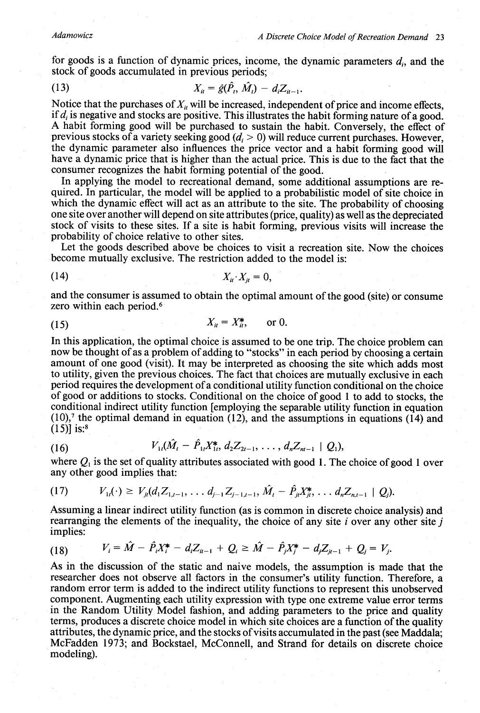for goods is a function of dynamic prices, income, the dynamic parameters  $d_i$ , and the stock of goods accumulated in previous periods;

(13) 
$$
X_{ii} = \hat{g}(P_i, M_i) - d_i Z_{ii-1}.
$$

Notice that the purchases of  $X_{it}$  will be increased, independent of price and income effects, if  $d_i$  is negative and stocks are positive. This illustrates the habit forming nature of a good. A habit forming good will be purchased to sustain the habit. Conversely, the effect of previous stocks of a variety seeking good  $(d_i > 0)$  will reduce current purchases. However, the dynamic parameter also influences the price vector and a habit forming good will have a dynamic price that is higher than the actual price. This is due to the fact that the consumer recognizes the habit forming potential of the good.

In applying the model to recreational demand, some additional assumptions are required. In particular, the model will be applied to a probabilistic model of site choice in which the dynamic effect will act as an attribute to the site. The probability of choosing one site over another will depend on site attributes (price, quality) as well as the depreciated stock of visits to these sites. If a site is habit forming, previous visits will increase the probability of choice relative to other sites.

Let the goods described above be choices to visit a recreation site. Now the choices become mutually exclusive. The restriction added to the model is:

$$
(14) \t\t X_u \t\t X_{j} = 0,
$$

and the consumer is assumed to obtain the optimal amount of the good (site) or consume zero within each period.<sup>6</sup>

$$
(15) \t\t\t X_{tt}=X_{tt}^*, \t\t or 0.
$$

In this application, the optimal choice is assumed to be one trip. The choice problem can now be thought of as a problem of adding to "stocks" in each period by choosing a certain amount of one good (visit). It may be interpreted as choosing the site which adds most to utility, given the previous choices. The fact that choices are mutually exclusive in each period requires the development of a conditional utility function conditional on the choice of good or additions to stocks. Conditional on the choice of good 1 to add to stocks, the  $(10)$ , the optimal demand in equation (12), and the assumptions in equations (14) and  $(15)$ ] is:<sup>8</sup>

$$
(16) \tV_{1t}(\hat{M}_t - \hat{P}_{1t}X_{1t}^*, d_2Z_{2t-1}, \ldots, d_nZ_{nt-1} | Q_1)
$$

where  $Q_1$  is the set of quality attributes associated with good 1. The choice of good 1 over any other good implies that:

$$
(17) \tV_{1i}(\cdot) \geq V_{ji}(d_1 Z_{1,i-1}, \ldots d_{j-1} Z_{j-1,i-1}, \hat{M}_i - \hat{P}_{ji} X_{ji}^*, \ldots d_n Z_{n,i-1} | Q_j).
$$

Assuming a linear indirect utility function (as is common in discrete choice analysis) and rearranging the elements of the inequality, the choice of any site *i* over any other site *j* implies:

$$
(18) \tV_i = \hat{M} - \hat{P}_i X_i^* - d_i Z_{u-1} + Q_i \geq \hat{M} - \hat{P}_j X_j^* - d_j Z_{u-1} + Q_j = V_j.
$$

As in the discussion of the static and naive models, the assumption is made that the researcher does not observe all factors in the consumer's utility function. Therefore, a random error term is added to the indirect utility functions to represent this unobserved component. Augmenting each utility expression with type one extreme value error terms in the Random Utility Model fashion, and adding parameters to the price and quality terms, produces a discrete choice model in which site choices are a function of the quality attributes, the dynamic price, and the stocks of visits accumulated in the past (see Maddala; McFadden 1973; and Bockstael, McConnell, and Strand for details on discrete choice modeling).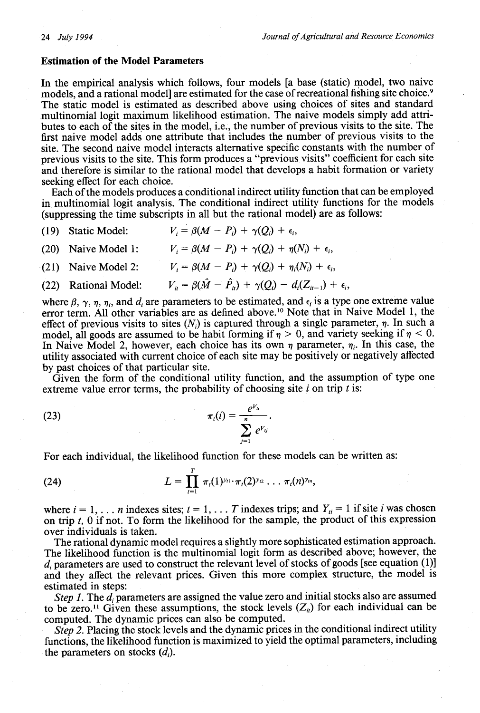### **Estimation of the Model Parameters**

In the empirical analysis which follows, four models [a base (static) model, two naive models, and a rational model] are estimated for the case of recreational fishing site choice. <sup>9</sup> The static model is estimated as described above using choices of sites and standard multinomial logit maximum likelihood estimation. The naive models simply add attributes to each of the sites in the model, i.e., the number of previous visits to the site. The first naive model adds one attribute that includes the number of previous visits to the site. The second naive model interacts alternative specific constants with the number of previous visits to the site. This form produces a "previous visits" coefficient for each site and therefore is similar to the rational model that develops a habit formation or variety seeking effect for each choice.

Each of the models produces a conditional indirect utility function that can be employed in multinomial logit analysis. The conditional indirect utility functions for the models (suppressing the time subscripts in all but the rational model) are as follows:

- (19) Static Model:  $V_i = \beta(M P_i) + \gamma(Q_i) + \epsilon_i$ ,
- (20) Naive Model 1:  $V_i = \beta(M P_i) + \gamma(Q_i) + \eta(N_i) + \epsilon_i$

(21) Naive Model 2: 
$$
V_i = \beta(M - P_i) + \gamma(Q_i) + \eta_i(N_i) + \epsilon_i,
$$

(22) Rational Model: 
$$
V_{ii} = \beta(\hat{M} - \hat{P}_{ii}) + \gamma(Q_i) - d_i(Z_{ii-1}) + \epsilon_i,
$$

where  $\beta$ ,  $\gamma$ ,  $\eta$ ,  $\eta$ , and  $d_i$  are parameters to be estimated, and  $\epsilon_i$  is a type one extreme value error term. All other variables are as defined above. <sup>10</sup> Note that in Naive Model 1, the effect of previous visits to sites  $(N_i)$  is captured through a single parameter,  $\eta$ . In such a model, all goods are assumed to be habit forming if  $\eta > 0$ , and variety seeking if  $\eta < 0$ . In Naive Model 2, however, each choice has its own  $\eta$  parameter,  $\eta_i$ . In this case, the utility associated with current choice of each site may be positively or negatively affected by past choices of that particular site.

Given the form of the conditional utility function, and the assumption of type one extreme value error terms, the probability of choosing site *i* on trip *t* is:

(23) 
$$
\pi_i(i) = \frac{e^{V_{ii}}}{\sum_{j=1}^n e^{V_{ij}}}.
$$

For each individual, the likelihood function for these models can be written as:

(24) 
$$
L = \prod_{i=1}^{T} \pi_i(1)^{y_{i1}} \cdot \pi_i(2)^{y_{i2}} \cdot \cdot \cdot \pi_i(n)^{y_{in}},
$$

where  $i = 1, \ldots n$  indexes sites;  $t = 1, \ldots T$  indexes trips; and  $Y_{ti} = 1$  if site *i* was chosen on trip *t, 0* if not. To form the likelihood for the sample, the product of this expression over individuals is taken.

The rational dynamic model requires a slightly more sophisticated estimation approach. The likelihood function is the multinomial logit form as described above; however, the  $d_i$  parameters are used to construct the relevant level of stocks of goods [see equation (1)] and they affect the relevant prices. Given this more complex structure, the model is estimated in steps:

*Step 1.* The *d<sub>i</sub>* parameters are assigned the value zero and initial stocks also are assumed to be zero.<sup>11</sup> Given these assumptions, the stock levels  $(Z_u)$  for each individual can be computed. The dynamic prices can also be computed.

*Step 2.* Placing the stock levels and the dynamic prices in the conditional indirect utility functions, the likelihood function is maximized to yield the optimal parameters, including the parameters on stocks  $(d_i)$ .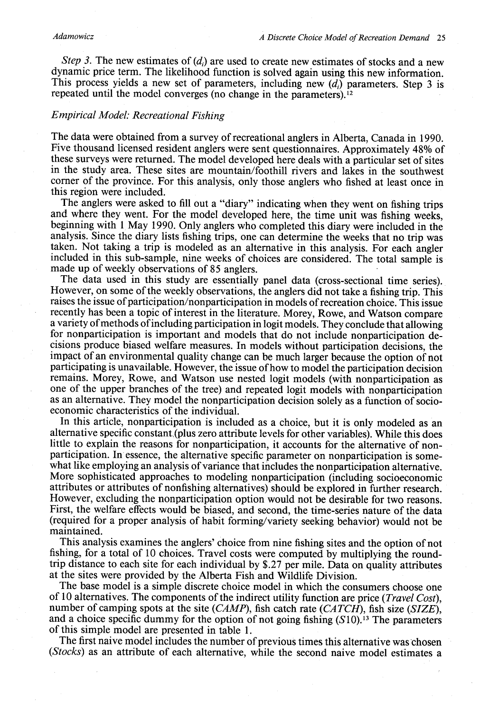*Step 3.* The new estimates of (d<sub>i</sub>) are used to create new estimates of stocks and a new dynamic price term. The likelihood function is solved again using this new information. This process yields a new set of parameters, including new *(di)* parameters. Step 3 is repeated until the model converges (no change in the parameters). <sup>12</sup>

### *Empirical Model: Recreational Fishing*

The data were obtained from a survey of recreational anglers in Alberta, Canada in 1990. Five thousand licensed resident anglers were sent questionnaires. Approximately 48% of these surveys were returned. The model developed here deals with a particular set of sites in the study area. These sites are mountain/foothill rivers and lakes in the southwest comer of the province. For this analysis, only those anglers who fished at least once in this region were included.<br>The anglers were asked to fill out a "diary" indicating when they went on fishing trips

and where they went. For the model developed here, the time unit was fishing weeks, beginning with 1 May 1990. Only anglers who completed this diary were included in the analysis. Since the diary lists fishing trips, one can determine the weeks that no trip was taken. Not taking a trip is modeled as an alternative in this analysis. For each angler included in this sub-sample, nine weeks of choices are considered. The total sample is

The data used in this study are essentially panel data (cross-sectional time series). However, on some of the weekly observations, the anglers did not take a fishing trip. This raises the issue of participation/nonparticipation in models of recreation choice. This issue recently has been a topic of interest in the literature. Morey, Rowe, and Watson compare a variety of methods of including participation in logit models. They conclude that allowing for nonparticipation is important and models that do not include nonparticipation decisions produce biased welfare measures. In models without participation decisions, the impact of an environmental quality change can be much larger because the option of not participating is unavailable. However, the issue of how to model the participation decision remains. Morey, Rowe, and Watson use nested logit models (with nonparticipation as one of the upper branches of the tree) and repeated logit models with nonparticipation as an alternative. They model the nonparticipation decision solely as a function of socioeconomic characteristics of the individual.

In this article, nonparticipation is included as a choice, but it is only modeled as an alternative specific constant,(plus zero attribute levels for other variables). While this does little to explain the reasons for nonparticipation, it accounts for the alternative of nonparticipation. In essence, the alternative specific parameter on nonparticipation is somewhat like employing an analysis of variance that includes the nonparticipation alternative. More sophisticated approaches to modeling nonparticipation (including socioeconomic attributes or attributes of nonfishing alternatives) should be explored in further research. However, excluding the nonparticipation option would not be desirable for two reasons. First, the welfare effects would be biased, and second, the time-series nature of the data (required for a proper analysis of habit forming/variety seeking behavior) would not be maintained.

This analysis examines the anglers' choice from nine fishing sites and the option of not fishing, for a total of 10 choices. Travel costs were computed by multiplying the roundtrip distance to each site for each individual by \$.27 per mile. Data on quality attributes at the sites were provided by the Alberta Fish and Wildlife Division.

The base model is a simple discrete choice model in which the consumers choose one of 10 alternatives. The components of the indirect utility function are price (*Travel Cost*), number of camping spots at the site (*CAMP*), fish catch rate (*CATCH*), fish size (*SIZE*), and a choice specific dummy for the option of not going fishing (*S*10).<sup>13</sup> The parameters of this simple model are presented i

The first naive model includes the number of previous times this alternative was chosen *(Stocks)* as an attribute of each alternative, while the second naive model estimates a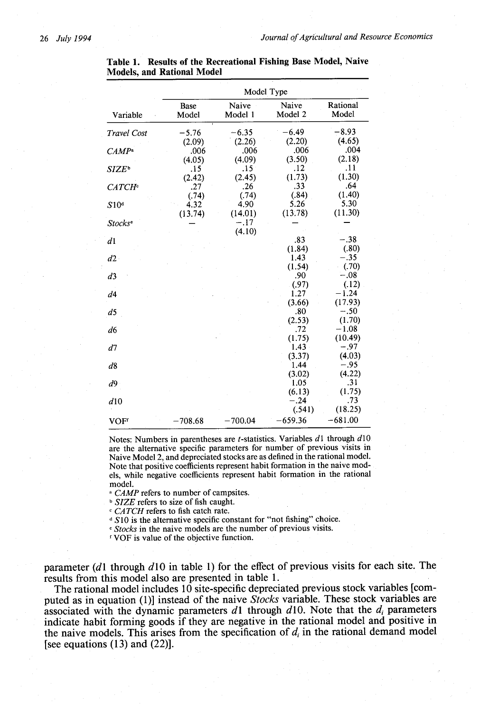|                           | Model Type           |                  |                  |                   |  |  |
|---------------------------|----------------------|------------------|------------------|-------------------|--|--|
| Variable                  | <b>Base</b><br>Model | Naive<br>Model 1 | Naive<br>Model 2 | Rational<br>Model |  |  |
| Travel Cost               | $-5.76$              | $-6.35$          | -6.49            | -8.93             |  |  |
|                           | (2.09)               | (2.26)           | (2.20)           | (4.65)            |  |  |
| CAMP <sup>a</sup>         | .006                 | .006             | .006             | .004              |  |  |
|                           | (4.05)               | (4.09)           | (3.50)           | (2.18)            |  |  |
| SIZE®                     | .15                  | .15 <sup>°</sup> | .12              | .11               |  |  |
|                           | (2.42)               | (2.45)           | (1.73)           | (1.30)            |  |  |
| <b>CATCH</b> <sup>c</sup> | .27                  | .26              | .33              | .64               |  |  |
|                           | (.74)                | (.74)            | (.84)            | (1.40)            |  |  |
| S10 <sup>d</sup>          | 4.32                 | 4.90             | 5.26             | 5.30              |  |  |
|                           | (13.74)              | (14.01)          | (13.78)          | (11.30)           |  |  |
| Stocks <sup>e</sup>       |                      | $-.17$           |                  |                   |  |  |
|                           |                      | (4.10)           |                  |                   |  |  |
| d1                        |                      |                  | .83              | $-.38$            |  |  |
|                           |                      |                  | (1.84)           | (.80)             |  |  |
| d2                        |                      |                  | 1.43             | $-.35$            |  |  |
|                           |                      |                  | (1.54)           | (.70)             |  |  |
| d3                        |                      |                  | .90              | $-.08$            |  |  |
|                           |                      |                  | (.97)            | (.12)             |  |  |
| d4                        |                      |                  | 1.27             | $-1.24$           |  |  |
|                           |                      |                  | (3.66)           | (17.93)           |  |  |
| d5                        |                      |                  | .80              | $-.50$            |  |  |
|                           |                      |                  | (2.53)           | (1.70)            |  |  |
| d6                        |                      |                  | .72              | $-1.08$           |  |  |
|                           |                      |                  | (1.75)           | (10.49)           |  |  |
| d7                        |                      |                  | 1.43             | $-.97$            |  |  |
|                           |                      |                  | (3.37)           | (4.03)            |  |  |
| d8                        |                      |                  | 1.44             | $-.95$            |  |  |
|                           |                      |                  | (3.02)           | (4.22)            |  |  |
| d <sup>9</sup>            |                      |                  | 1.05             | .31               |  |  |
|                           |                      |                  | (6.13)           | (1.75)            |  |  |
| d10                       |                      |                  | $-.24$           | .73               |  |  |
|                           |                      |                  | (.541)           | (18.25)           |  |  |
| VOFf                      | $-708.68$            | $-700.04$        | $-659.36$        | $-681.00$         |  |  |

**Table 1. Results of the Recreational Fishing Base Model, Naive Models, and Rational Model**

Notes: Numbers in parentheses are *t*-statistics. Variables  $d_1$  through  $d_1$ 0 are the alternative specific parameters for number of previous visits in Naive Model 2, and depreciated stocks are as defined in the rational model. Note that positive coefficients represent habit formation in the naive models, while negative coefficients represent habit formation in the rational model.

*a CAMP* refers to number of campsites.

**b** SIZE refers to size of fish caught.

*c CATCH* refers to fish catch rate.

<sup>d</sup> S10 is the alternative specific constant for "not fishing" choice.

**e** Stocks in the naive models are the number of previous visits.

VOF is value of the objective function.

parameter (dl through *d10* in table 1) for the effect of previous visits for each site. The results from this model also are presented in table 1.

The rational model includes 10 site-specific depreciated previous stock variables [computed as in equation (1)] instead of the naive *Stocks* variable. These stock variables are associated with the dynamic parameters  $d_1$  through  $d_1$ 0. Note that the  $d_i$  parameters indicate habit forming goods if they are negative in the rational model and positive in the naive models. This arises from the specification of  $d_i$  in the rational demand model [see equations  $(13)$  and  $(22)$ ].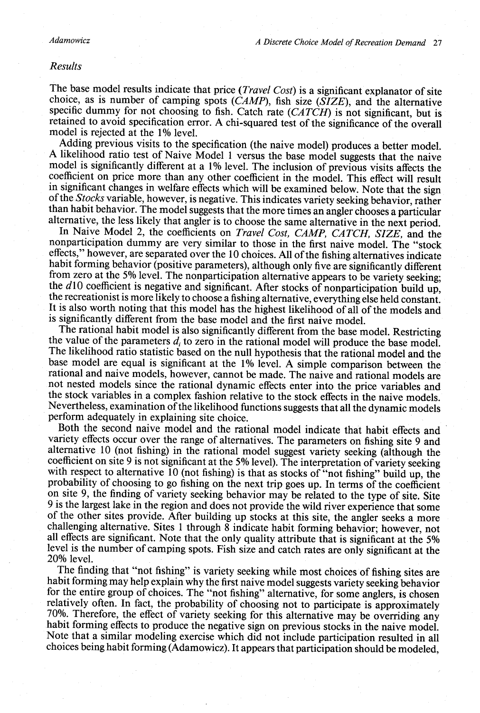#### *Results*

The base model results indicate that price *(Travel Cost)* is a significant explanator of site choice, as is number of camping spots *(CAMP),* fish size *(SIZE),* and the alternative retained to avoid specification error. A chi-squared test of the significance of the overall model is rejected at the 1% level.<br>Adding previous visits to the specification (the naive model) produces a better model.

A likelihood ratio test of Naive Model 1 versus the base model suggests that the naive<br>model is significantly different at a 1% level. The inclusion of previous visits affects the<br>coefficient on price more than any other It is also worth noting that this model has the highest likelihood of all of the models and is significantly different from the base model. The rational habit model is also significantly different from the base model. Rest

the value of the parameters  $d_i$  to zero in the rational model will produce the base model.<br>The likelihood ratio statistic based on the null hypothesis that the rational model and the base model are equal is significant a not nested models since the rational dynamic effects enter into the price variables and<br>the stock variables in a complex fashion relative to the stock effects in the naive models.<br>Nevertheless, examination of the likelihoo perform adequately in explaining site choice.<br>Both the second naive model and the rational model indicate that habit effects and

variety effects occur over the range of alternatives. The parameters on fishing site 9 and alternative 10 (not fishing) in the rational model suggest variety seeking (although the coefficient on site 9 is not significant a with respect to alternative 10 (not fishing) is that as stocks of "not fishing" build up, the probability of choosing to go fishing on the next trip goes up. In terms of the coefficient on site 9, the finding of variety seeking behavior may be related to the type of site. Site 9 is the largest lake in the region and does not provide the wild river experience that some of the other sites provide. After bui 20% level.

The finding that "not fishing" is variety seeking while most choices of fishing sites are habit forming may help explain why the first naive model suggests variety seeking behavior for the entire group of choices. The "not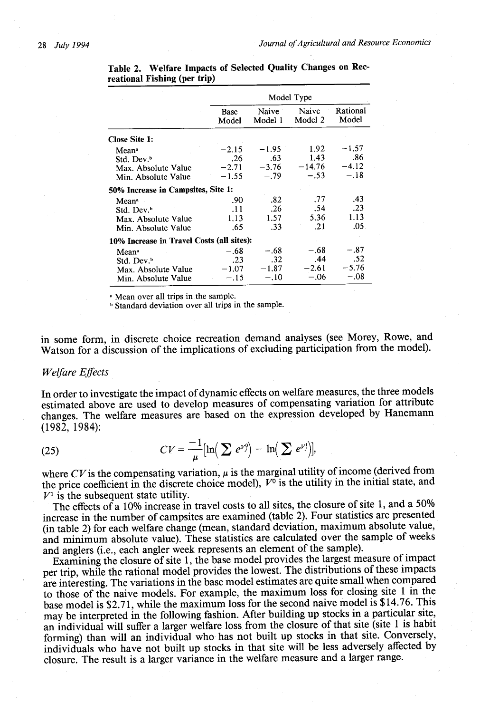|                                           |               | Model Type        |                  |                   |  |  |  |
|-------------------------------------------|---------------|-------------------|------------------|-------------------|--|--|--|
|                                           | Base<br>Model | Naive<br>Model 1  | Naive<br>Model 2 | Rational<br>Model |  |  |  |
| Close Site 1:                             |               |                   |                  |                   |  |  |  |
| Mean <sup>a</sup>                         | $-2.15$       | $-1.95$           | $-1.92$          | $-1.57$           |  |  |  |
| Std. Dev. <sup>b</sup>                    | .26           | .63               | $-1.43$          | -86               |  |  |  |
| Max. Absolute Value                       | $-2.71$       | $-3.76$           | $-14.76$         | $-4.12$           |  |  |  |
| Min. Absolute Value                       | $-1.55$       | $-.79$            | $-.53$           | $-.18$            |  |  |  |
| 50% Increase in Campsites, Site 1:        |               |                   |                  |                   |  |  |  |
| Mean <sup>a</sup>                         | .90           | .82               | .77              | .43               |  |  |  |
| Std. Dev. <sup>b</sup>                    | .11           | .26               | .54              | .23               |  |  |  |
| Max. Absolute Value                       | 1.13          | 1.57 <sub>1</sub> | 5.36             | 1.13              |  |  |  |
| Min. Absolute Value                       | .65           | .33               | .21              | .05               |  |  |  |
| 10% Increase in Travel Costs (all sites): |               |                   |                  |                   |  |  |  |
| Mean <sup>a</sup>                         | $-.68$        | $-.68$            | $-.68$           | $-.87$            |  |  |  |
| Std. Dev. <sup>b</sup>                    | $\cdot$ .23   | .32               | .44              | .52               |  |  |  |
| Max. Absolute Value                       | $-1.07$       | $-1.87$           | $-2.61$          | $-5.76$           |  |  |  |
| Min. Absolute Value                       | $-.15$        | $-.10$            | $-.06$           | $-.08$            |  |  |  |

**Table 2. Welfare Impacts of Selected Quality Changes on Rec**reational Fishing (per trip)

a Mean over all trips in the sample.

**b** Standard deviation over all trips in the sample.

in some form, in discrete choice recreation demand analyses (see Morey, Rowe, and Watson for a discussion of the implications of excluding participation from the model).

#### *Welfare Effects*

In order to investigate the impact of dynamic effects on welfare measures, the three models estimated above are used to develop measures of compensating variation for attribute changes. The welfare measures are based on the expression developed by Hanemann (1982, 1984):

$$
(25)
$$

(25) 
$$
CV = \frac{-1}{\mu} \left[ \ln \left( \sum e^{\nu \gamma} \right) - \ln \left( \sum e^{\nu \gamma} \right) \right],
$$

where  $CV$  is the compensating variation,  $\mu$  is the marginal utility of income (derived from the price coefficient in the discrete choice model),  $V^{\sigma}$  is the utility in the initial state, and  $V^1$  is the subsequent state utility.

The effects of a 10% increase in travel costs to all sites, the closure of site 1, and a 50% increase in the number of campsites are examined (table 2). Four statistics are presented (in table 2) for each welfare change (mean, standard deviation, maximum absolute value, and minimum absolute value). These statistics are calculated over the sample of weeks and anglers (i.e., each angler week represents an element of the sample).

Examining the closure of site 1, the base model provides the largest measure of impact per trip, while the rational model provides the lowest. The distributions of these impacts are interesting. The variations in the base model estimates are quite small when compared to those of the naive models. For example, the maximum loss for closing site 1 in the base model is \$2.71, while the maximum loss for the second naive model is \$14.76. This may be interpreted in the following fashion. After building up stocks in a particular site, an individual will suffer a larger welfare loss from the closure of that site (site 1 is habit forming) than will an individual who has not built up stocks in that site. Conversely, individuals who have not built up stocks in that site will be less adversely affected by closure. The result is a larger variance in the welfare measure and a larger range.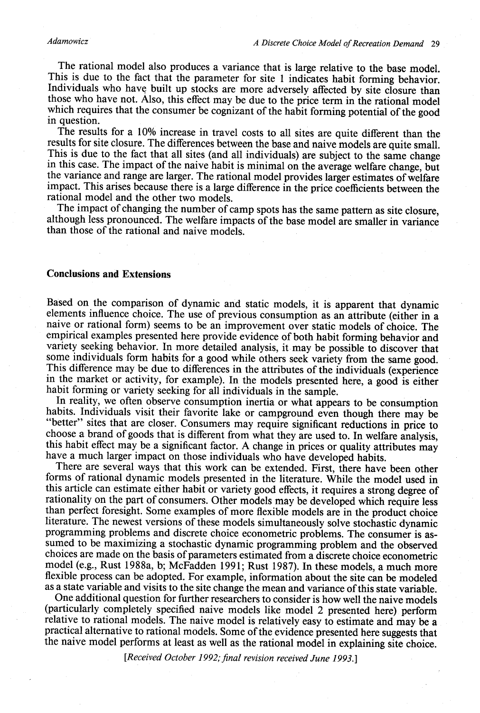#### *Adamowicz*

The rational model also produces a variance that is large relative to the base model.<br>This is due to the fact that the parameter for site 1 indicates habit forming behavior.<br>Individuals who have built up stocks are more ad those who have not. Also, this effect may be due to the price term in the rational model<br>which requires that the consumer be cognizant of the habit forming potential of the good<br>in question.

The results for a 10% increase in travel costs to all sites are quite different than the results for site closure. The differences between the base and naive models are quite small.<br>This is due to the fact that all sites (and all individuals) are subject to the same change in this case. The impact of the naive habit is minimal on the average welfare change, but<br>the variance and range are larger. The rational model provides larger estimates of welfare impact. This arises because there is a large difference in the price coefficients between the rational model and the other two models.<br>The impact of changing the number of camp spots has the same pattern as site closure,

although less pronounced. The welfare impacts of the base model are smaller in variance than those of the rational and naive models.

#### **Conclusions and Extensions**

Based on the comparison of dynamic and static models, it is apparent that dynamic<br>elements influence choice. The use of previous consumption as an attribute (either in a<br>naive or rational form) seems to be an improvement o variety seeking behavior. In more detailed analysis, it may be possible to discover that some individuals form habits for a good while others seek variety from the same good. This difference may be due to differences in the attributes of the individuals (experience in the market or activity, for example). In the models presented here, a good is either habit forming or variety seeking for all in

In reality, we often observe consumption inertia or what appears to be consumption habits. Individuals visit their favorite lake or campground even though there may be "better" sites that are closer. Consumers may require significant reductions in price to choose a brand of goods that is different from what they are used to. In welfare analysis, this habit effect may be a significant factor. A change in prices or quality attributes may have a much larger impact on those individuals who have developed habits.

There are several ways that this work can be extended. First, there have been other forms of rational dynamic models presented in the literature. While the model used in rationality on the part of consumers. Other models may be developed which require less than perfect foresight. Some examples of more flexible models are in the product choice literature. The newest versions of these models simultaneously solve stochastic dynamic programming problems and discrete choice econometric problems. The consumer is assumed to be maximizing a stochastic dynamic programming problem and the observed choices are made on the basis of parameters estimated from a discrete choice econometric model (e.g., Rust 1988a, b; McFadden 1991; Rust 1987). In these models, a much more flexible process can be adopted. For example, information about the site can be modeled as a state variable and visits to the site change the mean and variance of this state variable.

One additional question for further researchers to consider is how well the naive models (particularly completely specified naive models like model 2 presented here) perform relative to rational models. The naive model is relatively easy to estimate and may be a practical alternative to rational models. Some of the evidence presented here suggests that the naive model performs at least as well as the rational model in explaining site choice.

[Received October 1992; final revision received June 1993.]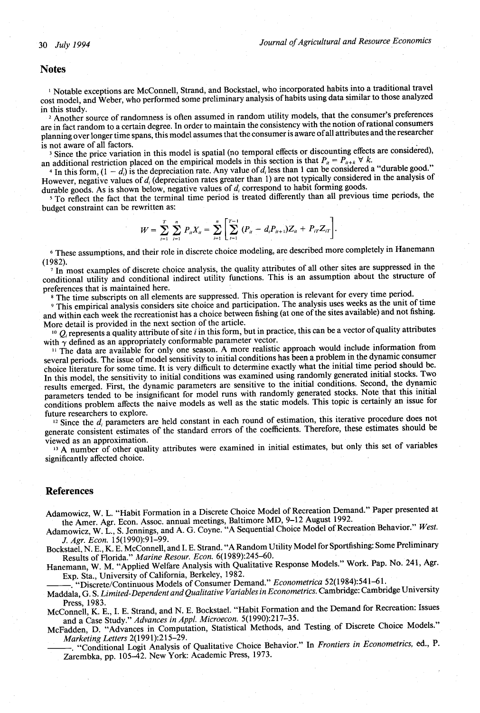#### **Notes**

<sup>1</sup> Notable exceptions are McConnell, Strand, and Bockstael, who incorporated habits into a traditional travel cost model, and Weber, who performed some preliminary analysis of habits using data similar to those analyzed in this study.

<sup>2</sup> Another source of randomness is often assumed in random utility models, that the consumer's preferences are in fact random to a certain degree. In order to maintain the consistency with the notion of rational consumers planning over longer time spans, this model assumes that the consumer is aware of all attributes and the researcher is not aware of all factors.

<sup>3</sup> Since the price variation in this model is spatial (no temporal effects or discounting effects are considered), an additional restriction placed on the empirical models in this section is that  $P_{\mu} = P_{\mu+\kappa} \vee \kappa$ .

<sup>4</sup> In this form,  $(1 - d_i)$  is the depreciation rate. Any value of  $d_i$  less than 1 can be considered a "durable good." However, negative values of *d<sub>i</sub>* (depreciation rates greater than 1) are not typically considered in the analysis of durable goods. As is shown below, negative values of *di* correspond to habit forming goods.

5 To reflect the fact that the terminal time period is treated differently than all previous time periods, the budget constraint can be rewritten as:

$$
W = \sum_{i=1}^T \sum_{i=1}^n P_{ii} X_{ii} = \sum_{i=1}^n \left[ \sum_{i=1}^{T-1} (P_{ii} - d_i P_{ii+1}) Z_{ii} + P_{iT} Z_{iT} \right].
$$

6 These assumptions, and their role in discrete choice modeling, are described more completely in Hanemann (1982).

<sup>7</sup> In most examples of discrete choice analysis, the quality attributes of all other sites are suppressed in the conditional utility and conditional indirect utility functions. This is an assumption about the structure of preferences that is maintained here.

<sup>8</sup> The time subscripts on all elements are suppressed. This operation is relevant for every time period.

9 This empirical analysis considers site choice and participation. The analysis uses weeks as the unit of time and within each week the recreationist has a choice between fishing (at one of the sites available) and not fishing. More detail is provided in the next section of the article.

<sup>10</sup>  $Q_i$  represents a quality attribute of site *i* in this form, but in practice, this can be a vector of quality attributes with  $\gamma$  defined as an appropriately conformable parameter vector.

<sup>11</sup> The data are available for only one season. A more realistic approach would include information from several periods. The issue of model sensitivity to initial conditions has been a problem in the dynamic consumer choice literature for some time. It is very difficult to determine exactly what the initial time period should be. In this model, the sensitivity to initial conditions was examined using randomly generated initial stocks. Two results emerged. First, the dynamic parameters are sensitive to the initial conditions. Second, the dynamic parameters tended to be insignificant for model runs with randomly generated stocks. Note that this initial conditions problem affects the naive models as well as the static models. This topic is certainly an issue for future researchers to explore.

<sup>12</sup> Since the  $d_i$  parameters are held constant in each round of estimation, this iterative procedure does not generate consistent estimates of the standard errors of the coefficients. Therefore, these estimates should be viewed as an approximation.

<sup>13</sup> A number of other quality attributes were examined in initial estimates, but only this set of variables significantly affected choice.

### **References**

Adamowicz, W. L. "Habit Formation in a Discrete Choice Model of Recreation Demand." Paper presented at the Amer. Agr. Econ. Assoc. annual meetings, Baltimore MD, 9-12 August 1992.

Adamowicz, W. L., S. Jennings, and A. G. Coyne. "A Sequential Choice Model of Recreation Behavior." *West. J. Agr. Econ.* 15(1990):91-99.

Bockstael, N. E., K. E. McConnell, and I. E. Strand. "A Random Utility Model for Sportfishing: Some Preliminary Results of Florida." *Marine Resour. Econ.* 6(1989):245-60.

Hanemann, W. M. "Applied Welfare Analysis with Qualitative Response Models." Work. Pap. No. 241, Agr. Exp. Sta., University of California, Berkeley, 1982.

"Discrete/Continuous Models of Consumer Demand." *Econometrica* 52(1984):541-61.

Maddala, G. S. *Limited-Dependent and Qualitative Variables in Econometrics.* Cambridge: Cambridge University Press, 1983.

McConnell, K. E., I. E. Strand, and N. E. Bockstael. "Habit Formation and the Demand for Recreation: Issues and a Case Study." *Advances in Appl. Microecon.* 5(1990):217-35.

McFadden, D. "Advances in Computation, Statistical Methods, and Testing of Discrete Choice Models." *Marketing Letters* 2(1991):215-29.

"Conditional Logit Analysis of Qualitative Choice Behavior." In *Frontiers in Econometrics,* ed., P. Zarembka, pp. 105-42. New York: Academic Press, 1973.